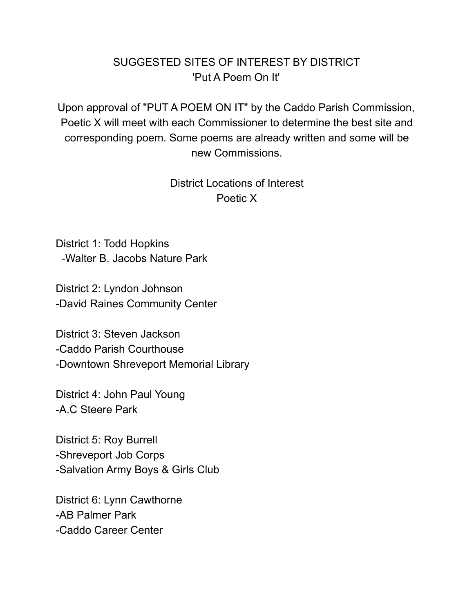# SUGGESTED SITES OF INTEREST BY DISTRICT 'Put A Poem On It'

Upon approval of "PUT A POEM ON IT" by the Caddo Parish Commission, Poetic X will meet with each Commissioner to determine the best site and corresponding poem. Some poems are already written and some will be new Commissions.

> District Locations of Interest Poetic X

District 1: Todd Hopkins -Walter B. Jacobs Nature Park

District 2: Lyndon Johnson -David Raines Community Center

District 3: Steven Jackson -Caddo Parish Courthouse -Downtown Shreveport Memorial Library

District 4: John Paul Young -A.C Steere Park

District 5: Roy Burrell -Shreveport Job Corps -Salvation Army Boys & Girls Club

District 6: Lynn Cawthorne -AB Palmer Park -Caddo Career Center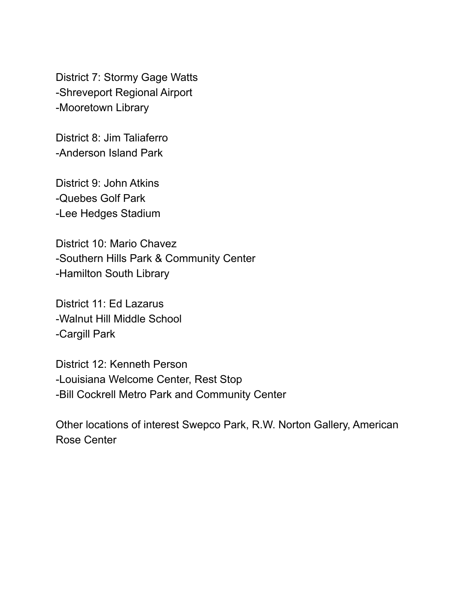District 7: Stormy Gage Watts -Shreveport Regional Airport -Mooretown Library

District 8: Jim Taliaferro -Anderson Island Park

District 9: John Atkins -Quebes Golf Park -Lee Hedges Stadium

District 10: Mario Chavez -Southern Hills Park & Community Center -Hamilton South Library

District 11: Ed Lazarus -Walnut Hill Middle School -Cargill Park

District 12: Kenneth Person -Louisiana Welcome Center, Rest Stop -Bill Cockrell Metro Park and Community Center

Other locations of interest Swepco Park, R.W. Norton Gallery, American Rose Center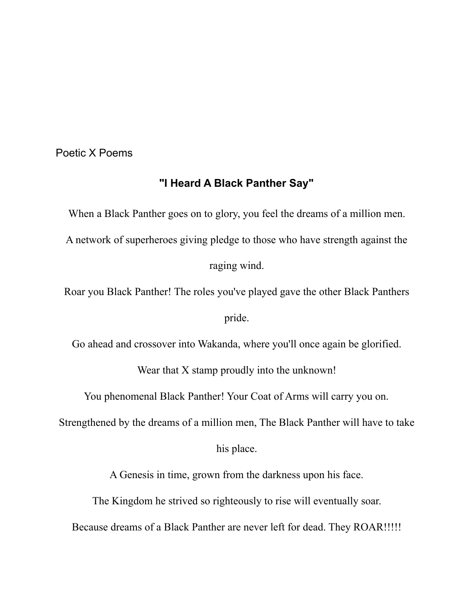Poetic X Poems

## **"I Heard A Black Panther Say"**

When a Black Panther goes on to glory, you feel the dreams of a million men. A network of superheroes giving pledge to those who have strength against the raging wind.

Roar you Black Panther! The roles you've played gave the other Black Panthers

pride.

Go ahead and crossover into Wakanda, where you'll once again be glorified.

Wear that X stamp proudly into the unknown!

You phenomenal Black Panther! Your Coat of Arms will carry you on.

Strengthened by the dreams of a million men, The Black Panther will have to take

his place.

A Genesis in time, grown from the darkness upon his face.

The Kingdom he strived so righteously to rise will eventually soar.

Because dreams of a Black Panther are never left for dead. They ROAR!!!!!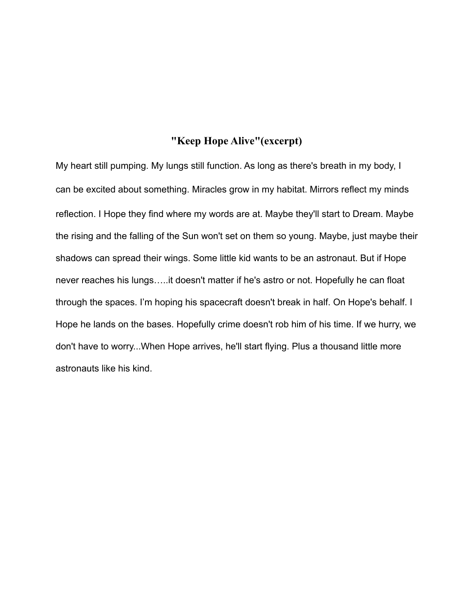### **"Keep Hope Alive"(excerpt)**

My heart still pumping. My lungs still function. As long as there's breath in my body, I can be excited about something. Miracles grow in my habitat. Mirrors reflect my minds reflection. I Hope they find where my words are at. Maybe they'll start to Dream. Maybe the rising and the falling of the Sun won't set on them so young. Maybe, just maybe their shadows can spread their wings. Some little kid wants to be an astronaut. But if Hope never reaches his lungs…..it doesn't matter if he's astro or not. Hopefully he can float through the spaces. I'm hoping his spacecraft doesn't break in half. On Hope's behalf. I Hope he lands on the bases. Hopefully crime doesn't rob him of his time. If we hurry, we don't have to worry...When Hope arrives, he'll start flying. Plus a thousand little more astronauts like his kind.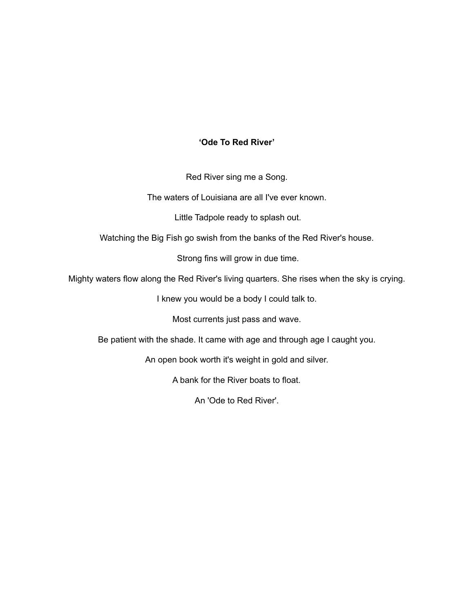### **'Ode To Red River'**

Red River sing me a Song.

The waters of Louisiana are all I've ever known.

Little Tadpole ready to splash out.

Watching the Big Fish go swish from the banks of the Red River's house.

Strong fins will grow in due time.

Mighty waters flow along the Red River's living quarters. She rises when the sky is crying.

I knew you would be a body I could talk to.

Most currents just pass and wave.

Be patient with the shade. It came with age and through age I caught you.

An open book worth it's weight in gold and silver.

A bank for the River boats to float.

An 'Ode to Red River'.